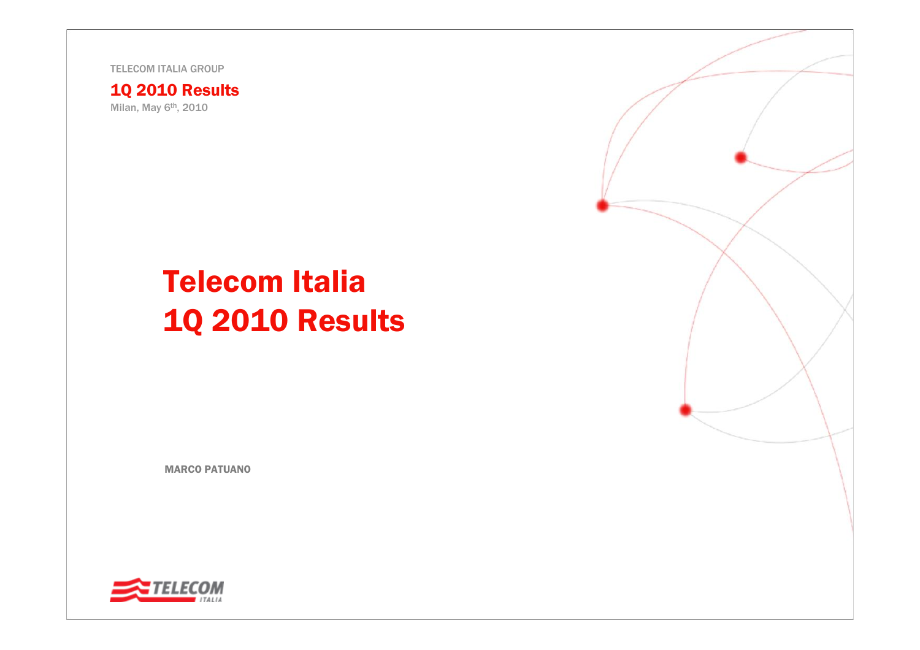TELECOM ITALIA GROUP

1Q 2010 Results Milan, May 6<sup>th</sup>, 2010

# Telecom Italia 1Q 2010 Results

MARCO PATUANO



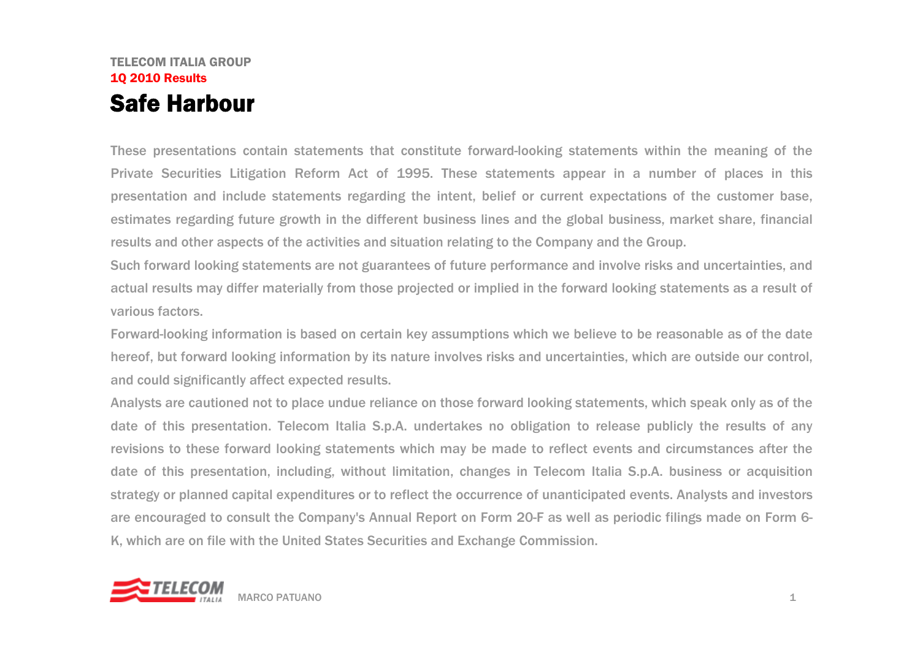### TELECOM ITALIA GROUP1Q 2010 Results Safe Harbour

These presentations contain statements that constitute forward-looking statements within the meaning of the Private Securities Litigation Reform Act of 1995. These statements appear in a number of places in this presentation and include statements regarding the intent, belief or current expectations of the customer base, estimates regarding future growth in the different business lines and the global business, market share, financial results and other aspects of the activities and situation relating to the Company and the Group.

Such forward looking statements are not guarantees of future performance and involve risks and uncertainties, and actual results may differ materially from those projected or implied in the forward looking statements as a result of various factors.

Forward-looking information is based on certain key assumptions which we believe to be reasonable as of the date hereof, but forward looking information by its nature involves risks and uncertainties, which are outside our control, and could significantly affect expected results.

Analysts are cautioned not to place undue reliance on those forward looking statements, which speak only as of the date of this presentation. Telecom Italia S.p.A. undertakes no obligation to release publicly the results of any revisions to these forward looking statements which may be made to reflect events and circumstances after the date of this presentation, including, without limitation, changes in Telecom Italia S.p.A. business or acquisition strategy or planned capital expenditures or to reflect the occurrence of unanticipated events. Analysts and investors are encouraged to consult the Company's Annual Report on Form 20-F as well as periodic filings made on Form 6- K, which are on file with the United States Securities and Exchange Commission.

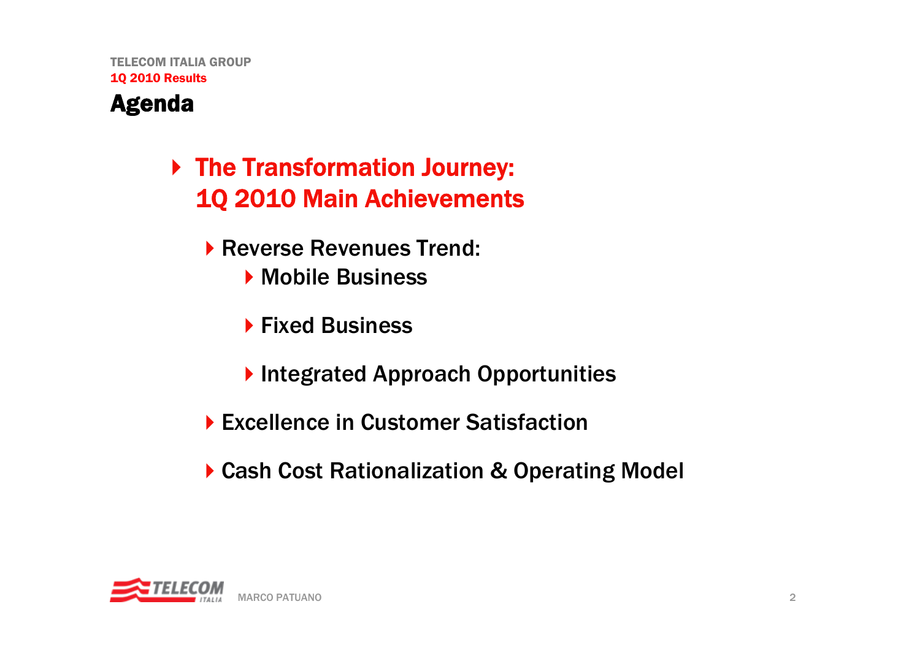

## ▶ The Transformation Journey: 1Q 2010 Main Achievements

- ▶ Reverse Revenues Trend:
	- **Mobile Business**
	- ▶ Fixed Business
	- **Integrated Approach Opportunities**
- ▶ Excellence in Customer Satisfaction
- ▶ Cash Cost Rationalization & Operating Model

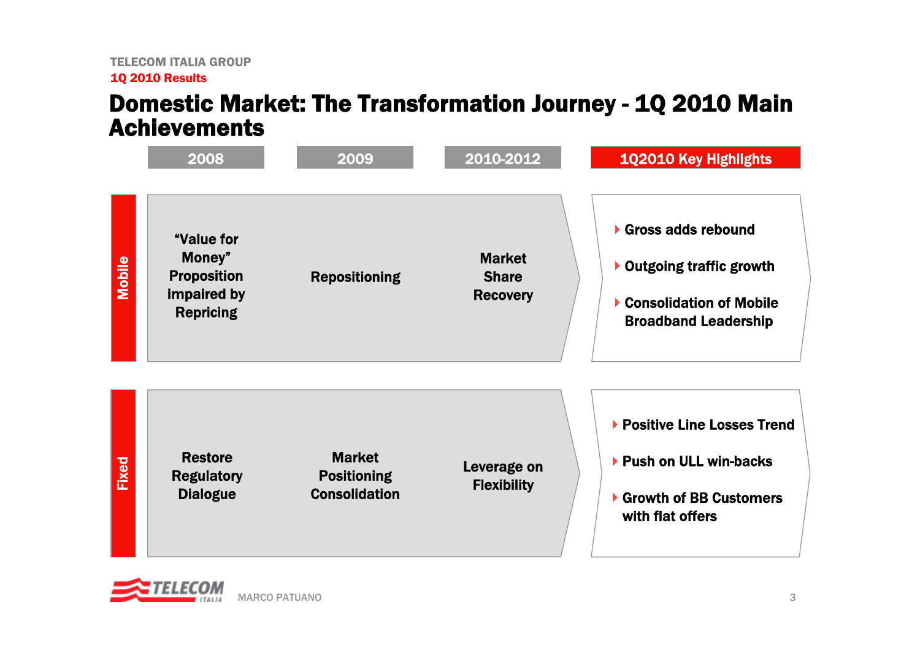### Domestic Market: The Transformation Journey - 1Q 2010 Main Achievements



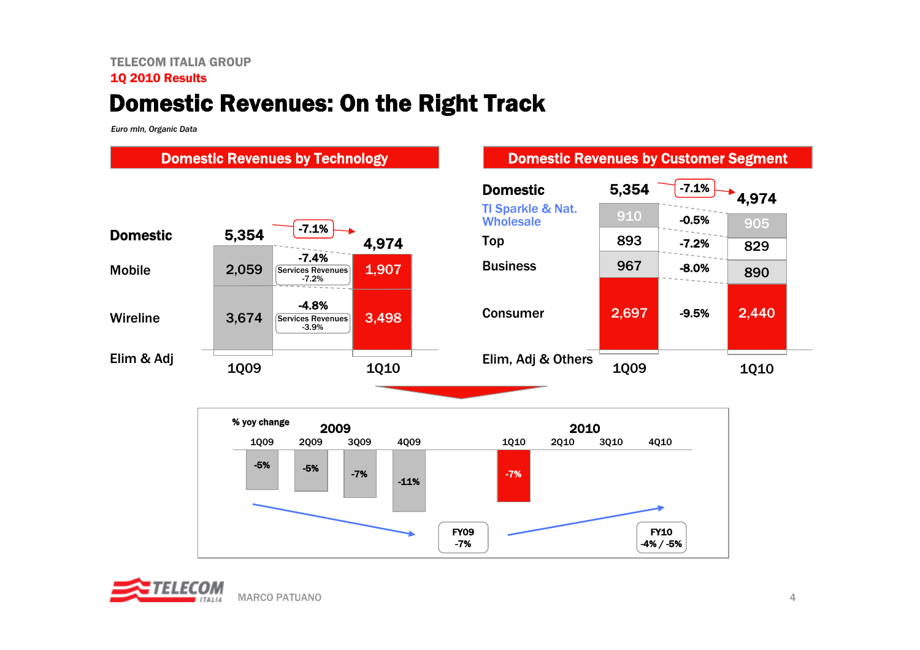#### TELECOM ITALIA GROUP1Q 2010 Results

### Domestic Revenues: On the Right Track

*Euro mln, Organic Data*

#### Domestic Revenues by Technology **Domestic Revenues by Customer Segment**





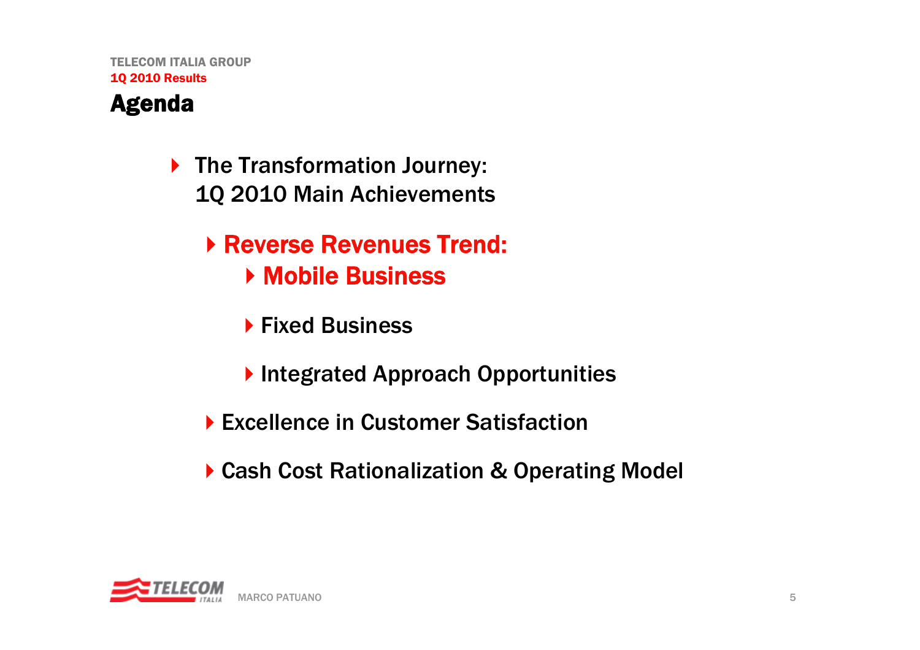

- ▶ The Transformation Journey: 1Q 2010 Main Achievements
	- Reverse Revenues Trend: ▶ Mobile Business
		- ▶ Fixed Business
		- ▶ Integrated Approach Opportunities
	- ▶ Excellence in Customer Satisfaction
	- ▶ Cash Cost Rationalization & Operating Model

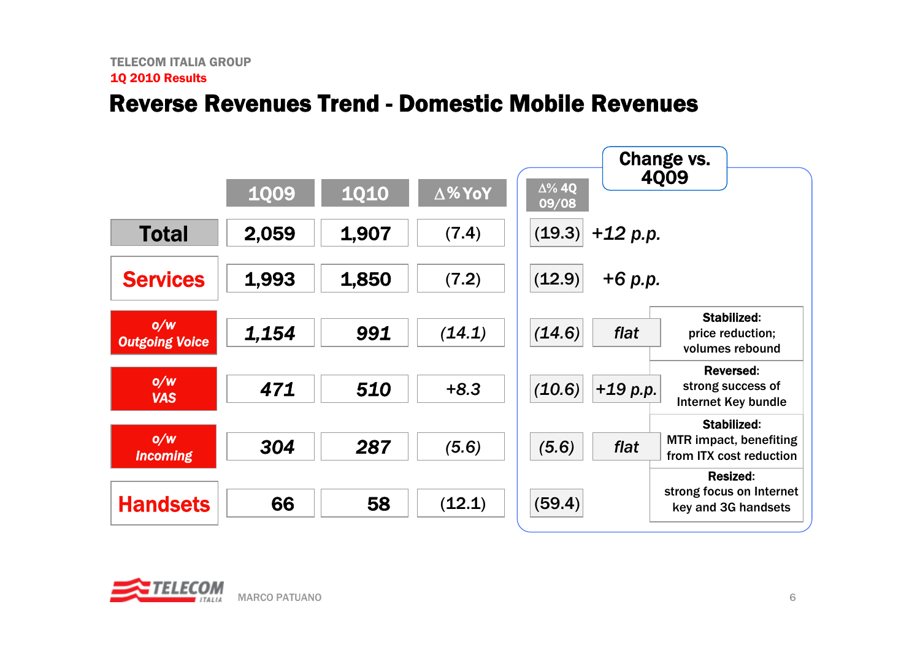### Reverse Revenues Trend -Domestic Mobile Revenues



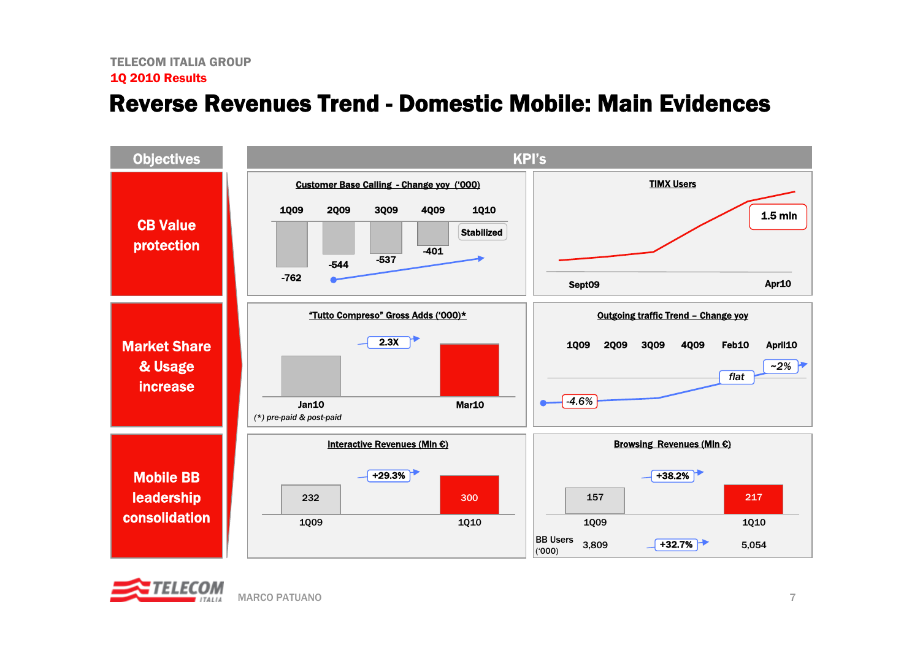### Reverse Revenues Trend - Domestic Mobile: Main Evidences



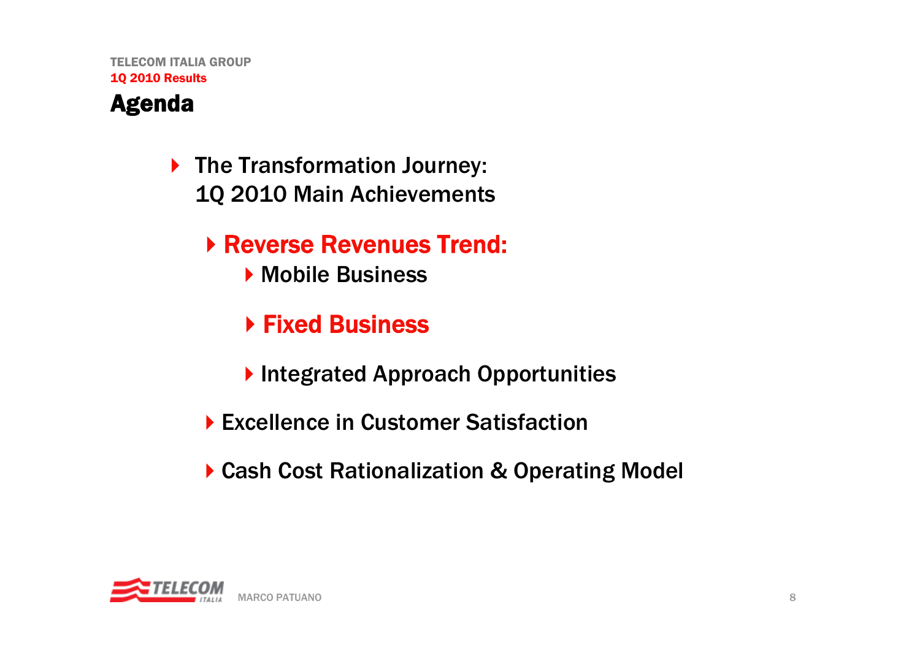

- ▶ The Transformation Journey: 1Q 2010 Main Achievements
	- Reverse Revenues Trend:
		- ▶ Mobile Business
		- ▶ Fixed Business
		- **Integrated Approach Opportunities**
	- ▶ Excellence in Customer Satisfaction
	- ▶ Cash Cost Rationalization & Operating Model

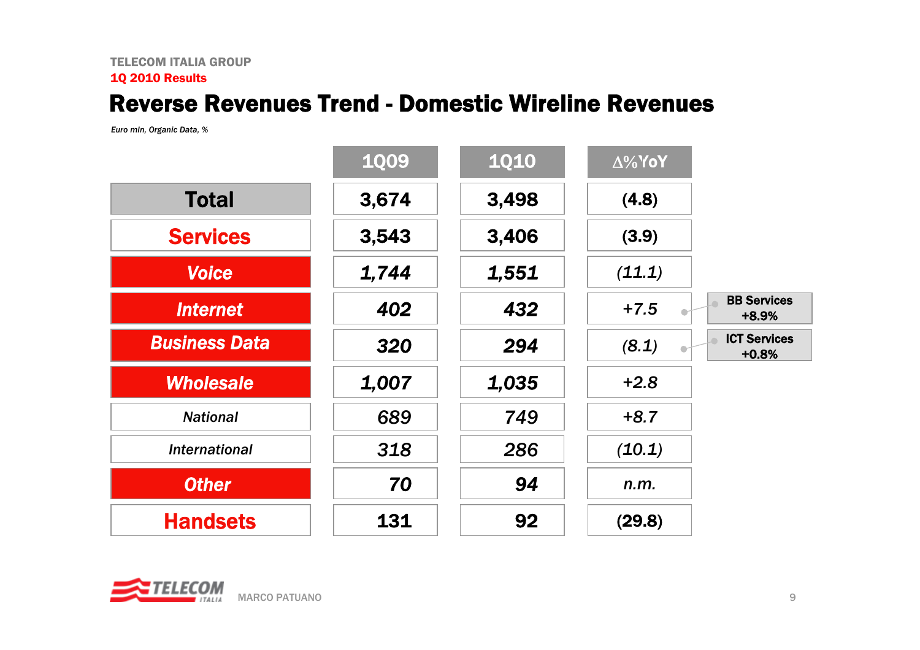### Reverse Revenues Trend - Domestic Wireline Revenues

*Euro mln, Organic Data, %*

|                      | <b>1Q09</b> | <b>1Q10</b> | $\Delta\%$ YoY |                                |
|----------------------|-------------|-------------|----------------|--------------------------------|
| <b>Total</b>         | 3,674       | 3,498       | (4.8)          |                                |
| <b>Services</b>      | 3,543       | 3,406       | (3.9)          |                                |
| <b>Voice</b>         | 1,744       | 1,551       | (11.1)         |                                |
| <b>Internet</b>      | 402         | 432         | $+7.5$         | <b>BB Services</b><br>+8.9%    |
| <b>Business Data</b> | 320         | 294         | (8.1)          | <b>ICT Services</b><br>$+0.8%$ |
| <b>Wholesale</b>     | 1,007       | 1,035       | $+2.8$         |                                |
| <b>National</b>      | 689         | 749         | $+8.7$         |                                |
| <b>International</b> | 318         | 286         | (10.1)         |                                |
| <b>Other</b>         | 70          | 94          | n.m.           |                                |
| <b>Handsets</b>      | 131         | 92          | (29.8)         |                                |

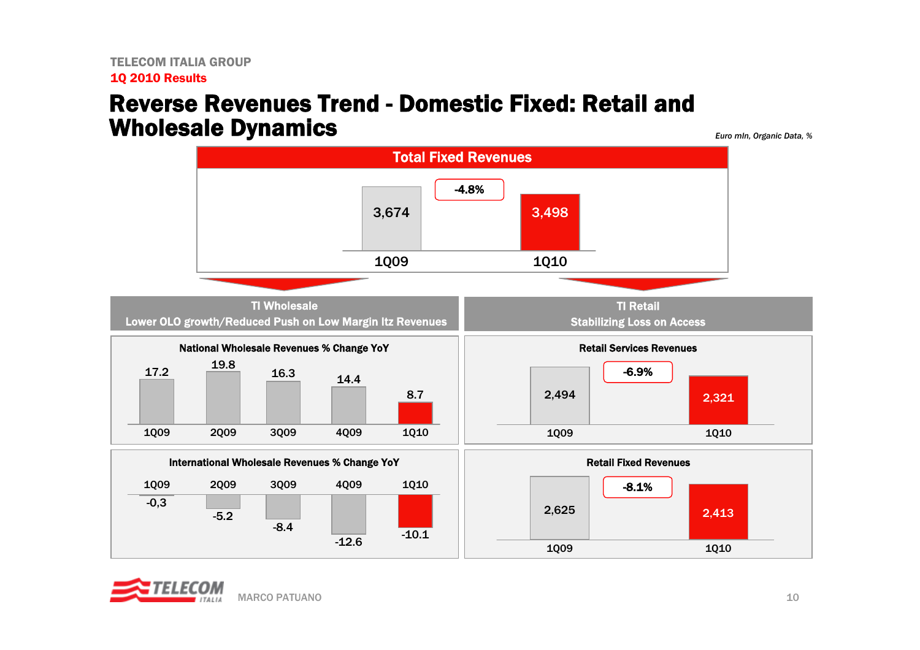### Reverse Revenues Trend -Domestic Fixed: Retail and Wholesale Dynamics

*Euro mln, Organic Data, %*



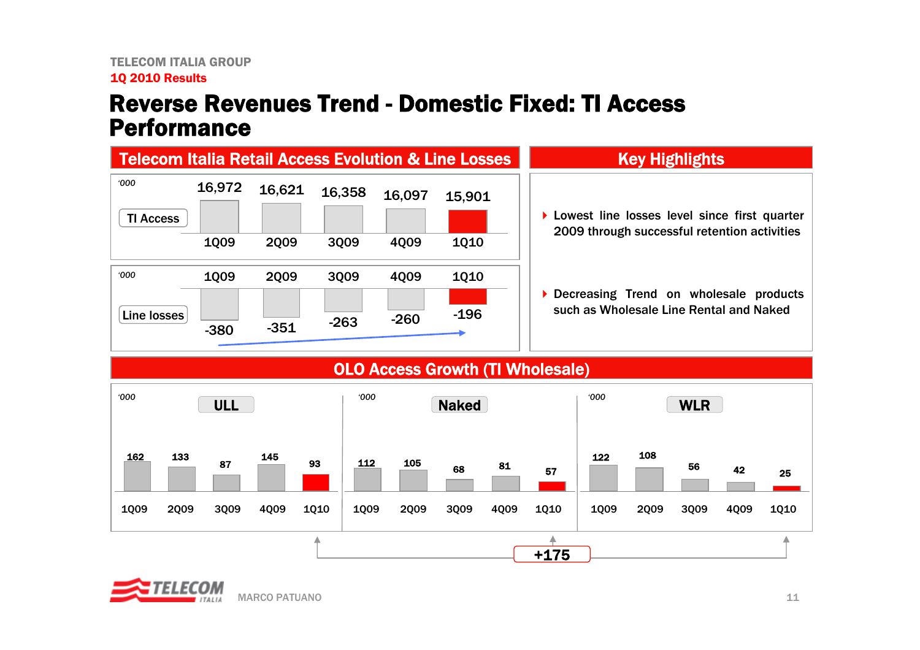### Reverse Revenues Trend -Domestic Fixed: TI Access Performance



#### OLO Access Growth (TI Wholesale)



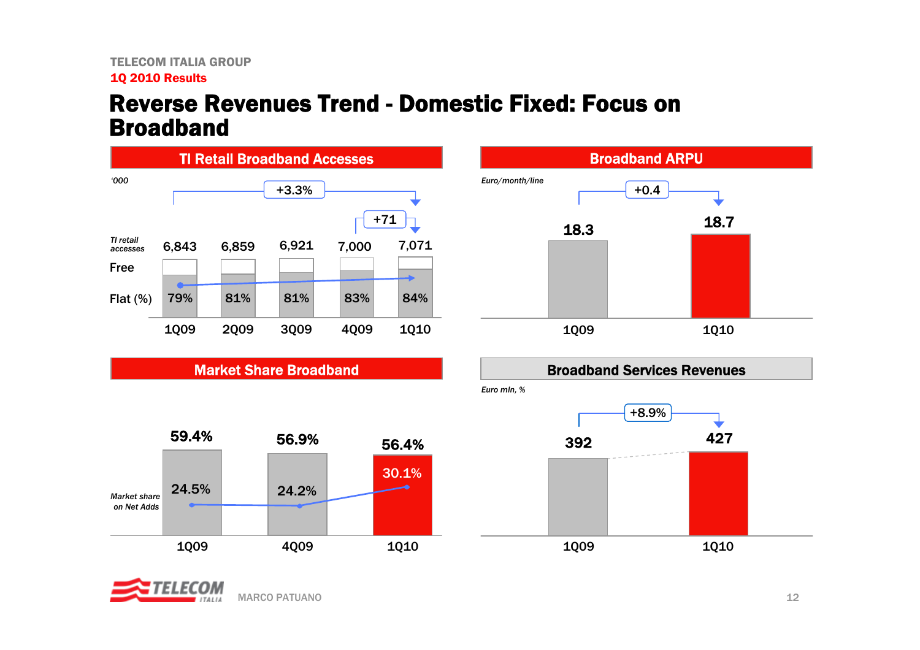### Reverse Revenues Trend - Domestic Fixed: Focus on Broadband



Market Share Broadband









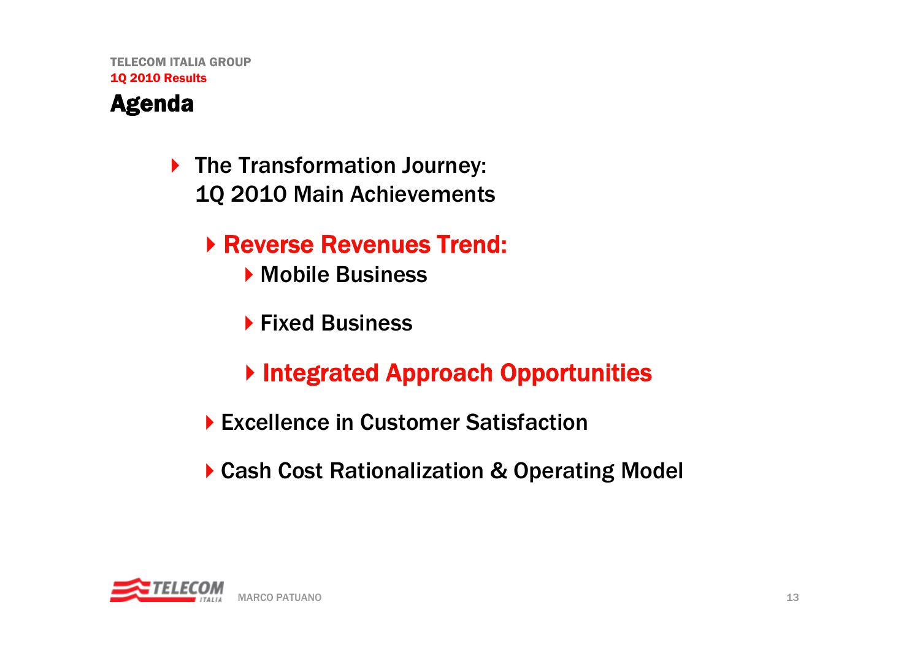

- ▶ The Transformation Journey: 1Q 2010 Main Achievements
	- Reverse Revenues Trend:
		- ▶ Mobile Business
		- ▶ Fixed Business
		- ▶ Integrated Approach Opportunities
	- ▶ Excellence in Customer Satisfaction
	- ▶ Cash Cost Rationalization & Operating Model

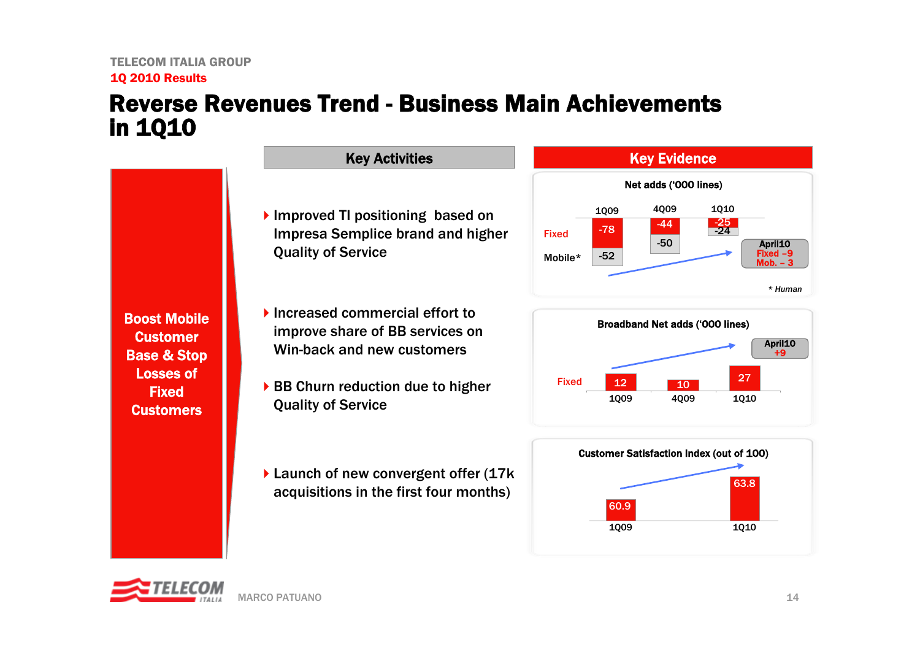### Reverse Revenues Trend - Business Main Achievements in 1Q10

Boost Mobile **Customer** Base & Stop Losses of Fixed **Customers** 

- Improved TI positioning based on Impresa Semplice brand and higher Quality of Service
- ▶ Increased commercial effort to improve share of BB services on Win-back and new customers
- ▶ BB Churn reduction due to higher Quality of Service
- ▶ Launch of new convergent offer (17k) acquisitions in the first four months)







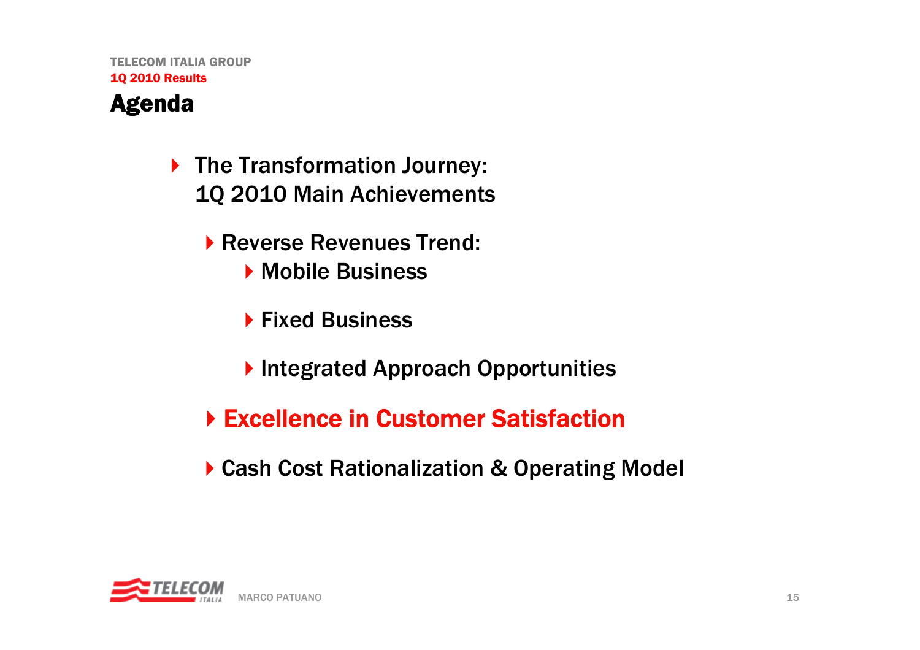### Agenda

- ▶ The Transformation Journey: 1Q 2010 Main Achievements
	- ▶ Reverse Revenues Trend:
		- ▶ Mobile Business
		- ▶ Fixed Business
		- **Integrated Approach Opportunities**
	- ▶ Excellence in Customer Satisfaction
	- ▶ Cash Cost Rationalization & Operating Model

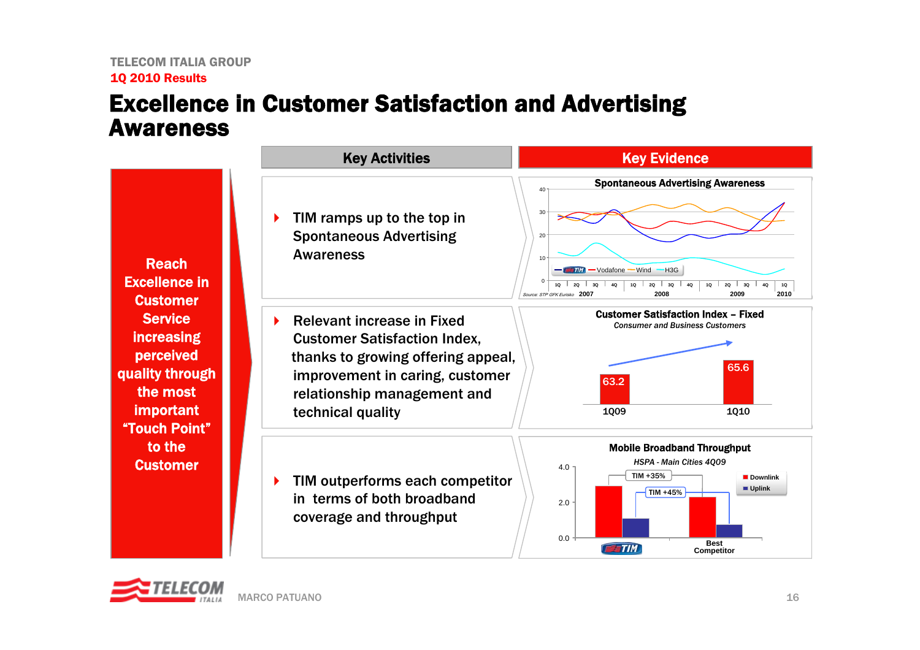### Excellence in Customer Satisfaction and Advertising Awareness

 Reach Excellence in **Customer Service** increasing perceived quality through the most important "Touch Point"to the **Customer** 

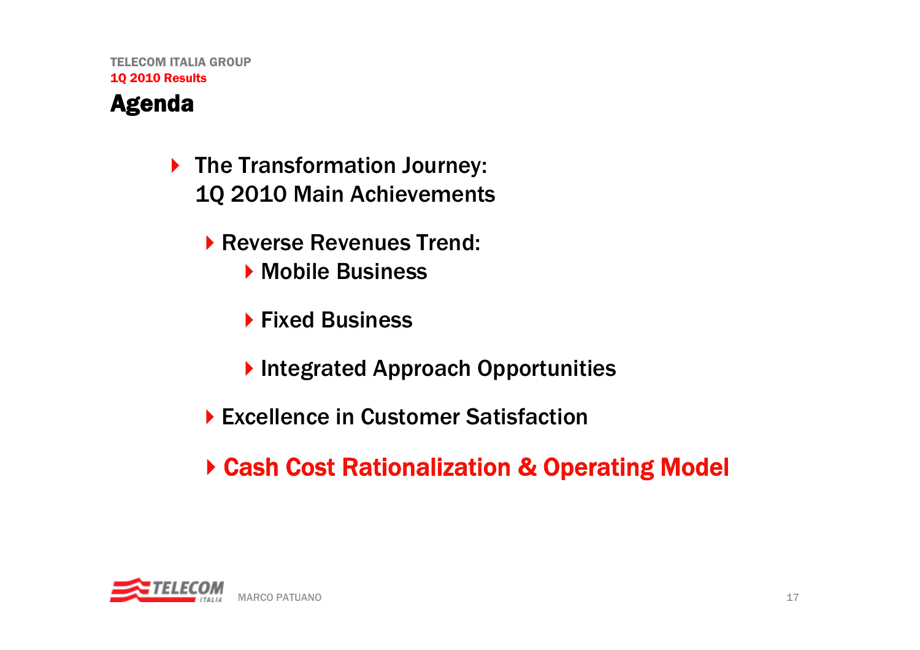### Agenda

- ▶ The Transformation Journey: 1Q 2010 Main Achievements
	- Reverse Revenues Trend:
		- ▶ Mobile Business
		- ▶ Fixed Business
		- **Integrated Approach Opportunities**
	- ▶ Excellence in Customer Satisfaction
	- Cash Cost Rationalization & Operating Model

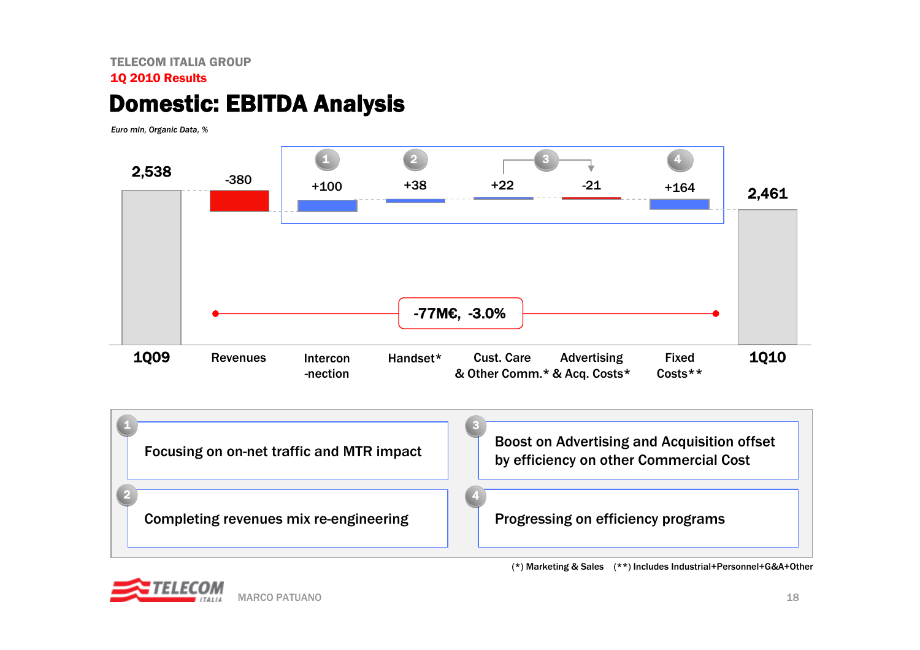#### TELECOM ITALIA GROUP1Q 2010 Results

### Domestic: EBITDA Analysis

*Euro mln, Organic Data, %*







(\*) Marketing & Sales (\*\*) Includes Industrial+Personnel+G&A+Other